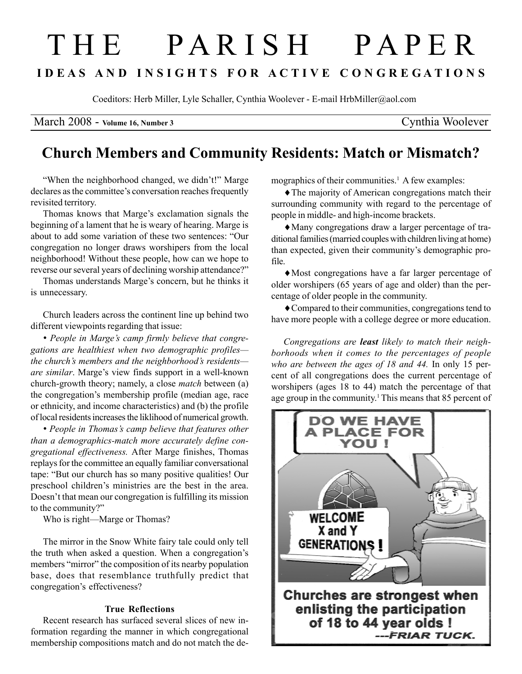# T H E P A R I S H P A P E R I D E A S A N D I N S I G H T S F O R A C T I V E C O N G R E G A T I O N S

Coeditors: Herb Miller, Lyle Schaller, Cynthia Woolever - E-mail HrbMiller@aol.com

March 2008 - Volume 16, Number 3 Cynthia Woolever

# Church Members and Community Residents: Match or Mismatch?

"When the neighborhood changed, we didn't!" Marge declares as the committee's conversation reaches frequently revisited territory.

Thomas knows that Marge's exclamation signals the beginning of a lament that he is weary of hearing. Marge is about to add some variation of these two sentences: "Our congregation no longer draws worshipers from the local neighborhood! Without these people, how can we hope to reverse our several years of declining worship attendance?"

Thomas understands Marge's concern, but he thinks it is unnecessary.

Church leaders across the continent line up behind two different viewpoints regarding that issue:

• People in Marge's camp firmly believe that congregations are healthiest when two demographic profiles the church's members and the neighborhood's residents are similar. Marge's view finds support in a well-known church-growth theory; namely, a close match between (a) the congregation's membership profile (median age, race or ethnicity, and income characteristics) and (b) the profile of local residents increases the liklihood of numerical growth.

• People in Thomas's camp believe that features other than a demographics-match more accurately define congregational effectiveness. After Marge finishes, Thomas replays for the committee an equally familiar conversational tape: "But our church has so many positive qualities! Our preschool children's ministries are the best in the area. Doesn't that mean our congregation is fulfilling its mission to the community?"

Who is right—Marge or Thomas?

The mirror in the Snow White fairy tale could only tell the truth when asked a question. When a congregation's members "mirror" the composition of its nearby population base, does that resemblance truthfully predict that congregation's effectiveness?

## True Reflections

Recent research has surfaced several slices of new information regarding the manner in which congregational membership compositions match and do not match the demographics of their communities.<sup>1</sup> A few examples:

♦The majority of American congregations match their surrounding community with regard to the percentage of people in middle- and high-income brackets.

♦Many congregations draw a larger percentage of traditional families (married couples with children living at home) than expected, given their community's demographic profile.

♦Most congregations have a far larger percentage of older worshipers (65 years of age and older) than the percentage of older people in the community.

♦Compared to their communities, congregations tend to have more people with a college degree or more education.

Congregations are least likely to match their neighborhoods when it comes to the percentages of people who are between the ages of 18 and 44. In only 15 percent of all congregations does the current percentage of worshipers (ages 18 to 44) match the percentage of that age group in the community. 1This means that 85 percent of